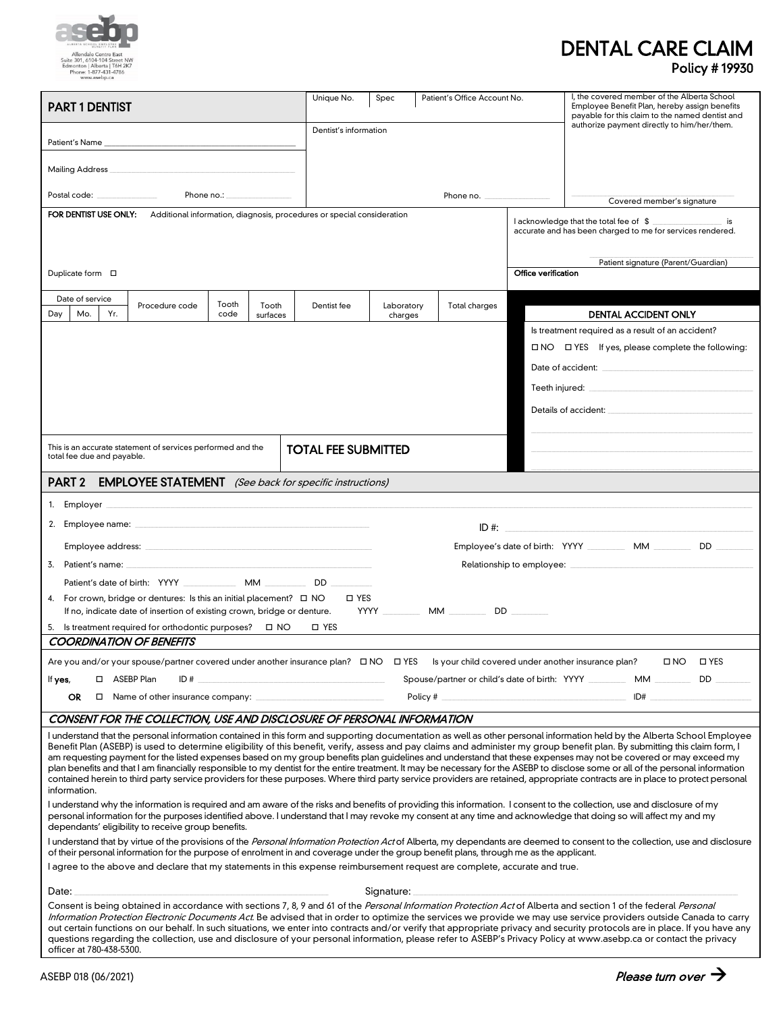

## DENTAL CARE CLAIM Policy # 19930

| <b>PART 1 DENTIST</b>                                                                                                                                                                                                                                                                                                                                                                                                                                                                                                                                                                                                                                                                                                                                                                                                                                                                                             | Unique No.<br>Patient's Office Account No.<br>Spec                   |            | I, the covered member of the Alberta School<br>Employee Benefit Plan, hereby assign benefits<br>payable for this claim to the named dentist and |                     |                                                            |
|-------------------------------------------------------------------------------------------------------------------------------------------------------------------------------------------------------------------------------------------------------------------------------------------------------------------------------------------------------------------------------------------------------------------------------------------------------------------------------------------------------------------------------------------------------------------------------------------------------------------------------------------------------------------------------------------------------------------------------------------------------------------------------------------------------------------------------------------------------------------------------------------------------------------|----------------------------------------------------------------------|------------|-------------------------------------------------------------------------------------------------------------------------------------------------|---------------------|------------------------------------------------------------|
|                                                                                                                                                                                                                                                                                                                                                                                                                                                                                                                                                                                                                                                                                                                                                                                                                                                                                                                   | authorize payment directly to him/her/them.<br>Dentist's information |            |                                                                                                                                                 |                     |                                                            |
|                                                                                                                                                                                                                                                                                                                                                                                                                                                                                                                                                                                                                                                                                                                                                                                                                                                                                                                   |                                                                      |            |                                                                                                                                                 |                     |                                                            |
|                                                                                                                                                                                                                                                                                                                                                                                                                                                                                                                                                                                                                                                                                                                                                                                                                                                                                                                   |                                                                      |            |                                                                                                                                                 |                     |                                                            |
| Phone no.: Network                                                                                                                                                                                                                                                                                                                                                                                                                                                                                                                                                                                                                                                                                                                                                                                                                                                                                                |                                                                      |            | Phone no.                                                                                                                                       |                     | Covered member's signature                                 |
| FOR DENTIST USE ONLY: Additional information, diagnosis, procedures or special consideration                                                                                                                                                                                                                                                                                                                                                                                                                                                                                                                                                                                                                                                                                                                                                                                                                      |                                                                      |            |                                                                                                                                                 |                     | I acknowledge that the total fee of \$                     |
|                                                                                                                                                                                                                                                                                                                                                                                                                                                                                                                                                                                                                                                                                                                                                                                                                                                                                                                   |                                                                      |            |                                                                                                                                                 |                     | accurate and has been charged to me for services rendered. |
|                                                                                                                                                                                                                                                                                                                                                                                                                                                                                                                                                                                                                                                                                                                                                                                                                                                                                                                   | Patient signature (Parent/Guardian)                                  |            |                                                                                                                                                 |                     |                                                            |
| Duplicate form □                                                                                                                                                                                                                                                                                                                                                                                                                                                                                                                                                                                                                                                                                                                                                                                                                                                                                                  |                                                                      |            |                                                                                                                                                 | Office verification |                                                            |
| Date of service<br>Tooth<br>Procedure code<br>Tooth                                                                                                                                                                                                                                                                                                                                                                                                                                                                                                                                                                                                                                                                                                                                                                                                                                                               | Dentist fee                                                          | Laboratory | Total charges                                                                                                                                   |                     |                                                            |
| Yr.<br>Dav<br>Mo.<br>code<br>surfaces                                                                                                                                                                                                                                                                                                                                                                                                                                                                                                                                                                                                                                                                                                                                                                                                                                                                             |                                                                      | charges    |                                                                                                                                                 |                     | <b>DENTAL ACCIDENT ONLY</b>                                |
|                                                                                                                                                                                                                                                                                                                                                                                                                                                                                                                                                                                                                                                                                                                                                                                                                                                                                                                   |                                                                      |            |                                                                                                                                                 |                     | Is treatment required as a result of an accident?          |
|                                                                                                                                                                                                                                                                                                                                                                                                                                                                                                                                                                                                                                                                                                                                                                                                                                                                                                                   | □ NO □ YES If yes, please complete the following:                    |            |                                                                                                                                                 |                     |                                                            |
|                                                                                                                                                                                                                                                                                                                                                                                                                                                                                                                                                                                                                                                                                                                                                                                                                                                                                                                   |                                                                      |            |                                                                                                                                                 |                     |                                                            |
|                                                                                                                                                                                                                                                                                                                                                                                                                                                                                                                                                                                                                                                                                                                                                                                                                                                                                                                   |                                                                      |            |                                                                                                                                                 |                     |                                                            |
|                                                                                                                                                                                                                                                                                                                                                                                                                                                                                                                                                                                                                                                                                                                                                                                                                                                                                                                   |                                                                      |            |                                                                                                                                                 |                     |                                                            |
| This is an accurate statement of services performed and the                                                                                                                                                                                                                                                                                                                                                                                                                                                                                                                                                                                                                                                                                                                                                                                                                                                       | <b>TOTAL FEE SUBMITTED</b>                                           |            |                                                                                                                                                 |                     |                                                            |
| total fee due and payable.                                                                                                                                                                                                                                                                                                                                                                                                                                                                                                                                                                                                                                                                                                                                                                                                                                                                                        |                                                                      |            |                                                                                                                                                 |                     |                                                            |
| <b>PART 2</b><br><b>EMPLOYEE STATEMENT</b> (See back for specific instructions)                                                                                                                                                                                                                                                                                                                                                                                                                                                                                                                                                                                                                                                                                                                                                                                                                                   |                                                                      |            |                                                                                                                                                 |                     |                                                            |
|                                                                                                                                                                                                                                                                                                                                                                                                                                                                                                                                                                                                                                                                                                                                                                                                                                                                                                                   |                                                                      |            |                                                                                                                                                 |                     |                                                            |
|                                                                                                                                                                                                                                                                                                                                                                                                                                                                                                                                                                                                                                                                                                                                                                                                                                                                                                                   |                                                                      |            |                                                                                                                                                 |                     | ID#:                                                       |
| Employee's date of birth: YYYY __________ MM _________ DD                                                                                                                                                                                                                                                                                                                                                                                                                                                                                                                                                                                                                                                                                                                                                                                                                                                         |                                                                      |            |                                                                                                                                                 |                     |                                                            |
| 3. Patient's name: the contract of the contract of the contract of the contract of the contract of the contract of the contract of the contract of the contract of the contract of the contract of the contract of the contrac                                                                                                                                                                                                                                                                                                                                                                                                                                                                                                                                                                                                                                                                                    |                                                                      |            |                                                                                                                                                 |                     |                                                            |
| Patient's date of birth: YYYY MM MM DD                                                                                                                                                                                                                                                                                                                                                                                                                                                                                                                                                                                                                                                                                                                                                                                                                                                                            |                                                                      |            |                                                                                                                                                 |                     |                                                            |
| 4. For crown, bridge or dentures: Is this an initial placement? $\square$ NO<br>□ YES<br>If no, indicate date of insertion of existing crown, bridge or denture.                                                                                                                                                                                                                                                                                                                                                                                                                                                                                                                                                                                                                                                                                                                                                  |                                                                      |            |                                                                                                                                                 |                     |                                                            |
| 5. Is treatment required for orthodontic purposes? $\Box$ NO                                                                                                                                                                                                                                                                                                                                                                                                                                                                                                                                                                                                                                                                                                                                                                                                                                                      | □ YES                                                                |            |                                                                                                                                                 |                     |                                                            |
| <b>COORDINATION OF BENEFITS</b>                                                                                                                                                                                                                                                                                                                                                                                                                                                                                                                                                                                                                                                                                                                                                                                                                                                                                   |                                                                      |            |                                                                                                                                                 |                     |                                                            |
| Are you and/or your spouse/partner covered under another insurance plan? $\Box$ NO $\Box$ YES Is your child covered under another insurance plan?<br>UNO UYES                                                                                                                                                                                                                                                                                                                                                                                                                                                                                                                                                                                                                                                                                                                                                     |                                                                      |            |                                                                                                                                                 |                     |                                                            |
| ID#<br>□ ASEBP Plan<br>If yes,                                                                                                                                                                                                                                                                                                                                                                                                                                                                                                                                                                                                                                                                                                                                                                                                                                                                                    |                                                                      |            | Spouse/partner or child's date of birth: YYYY ___________ MM __________ DD                                                                      |                     |                                                            |
| Policy $#_$<br>OR.<br>$\Box$ Name of other insurance company: $\Box$                                                                                                                                                                                                                                                                                                                                                                                                                                                                                                                                                                                                                                                                                                                                                                                                                                              |                                                                      |            |                                                                                                                                                 | ID#                 |                                                            |
| CONSENT FOR THE COLLECTION, USE AND DISCLOSURE OF PERSONAL INFORMATION                                                                                                                                                                                                                                                                                                                                                                                                                                                                                                                                                                                                                                                                                                                                                                                                                                            |                                                                      |            |                                                                                                                                                 |                     |                                                            |
| I understand that the personal information contained in this form and supporting documentation as well as other personal information held by the Alberta School Employee<br>Benefit Plan (ASEBP) is used to determine eligibility of this benefit, verify, assess and pay claims and administer my group benefit plan. By submitting this claim form, I<br>am requesting payment for the listed expenses based on my group benefits plan guidelines and understand that these expenses may not be covered or may exceed my<br>plan benefits and that I am financially responsible to my dentist for the entire treatment. It may be necessary for the ASEBP to disclose some or all of the personal information<br>contained herein to third party service providers for these purposes. Where third party service providers are retained, appropriate contracts are in place to protect personal<br>information. |                                                                      |            |                                                                                                                                                 |                     |                                                            |
| I understand why the information is required and am aware of the risks and benefits of providing this information. I consent to the collection, use and disclosure of my<br>personal information for the purposes identified above. I understand that I may revoke my consent at any time and acknowledge that doing so will affect my and my<br>dependants' eligibility to receive group benefits.                                                                                                                                                                                                                                                                                                                                                                                                                                                                                                               |                                                                      |            |                                                                                                                                                 |                     |                                                            |
| I understand that by virtue of the provisions of the Personal Information Protection Act of Alberta, my dependants are deemed to consent to the collection, use and disclosure<br>of their personal information for the purpose of enrolment in and coverage under the group benefit plans, through me as the applicant.                                                                                                                                                                                                                                                                                                                                                                                                                                                                                                                                                                                          |                                                                      |            |                                                                                                                                                 |                     |                                                            |
| I agree to the above and declare that my statements in this expense reimbursement request are complete, accurate and true.                                                                                                                                                                                                                                                                                                                                                                                                                                                                                                                                                                                                                                                                                                                                                                                        |                                                                      |            |                                                                                                                                                 |                     |                                                            |
| Date:<br>Signature:                                                                                                                                                                                                                                                                                                                                                                                                                                                                                                                                                                                                                                                                                                                                                                                                                                                                                               |                                                                      |            |                                                                                                                                                 |                     |                                                            |
| Consent is being obtained in accordance with sections 7, 8, 9 and 61 of the Personal Information Protection Act of Alberta and section 1 of the federal Personal<br>Information Protection Electronic Documents Act. Be advised that in order to optimize the services we provide we may use service providers outside Canada to carry<br>out certain functions on our behalf. In such situations, we enter into contracts and/or verify that appropriate privacy and security protocols are in place. If you have any<br>questions regarding the collection, use and disclosure of your personal information, please refer to ASEBP's Privacy Policy at www.asebp.ca or contact the privacy<br>officer at 780-438-5300.                                                                                                                                                                                          |                                                                      |            |                                                                                                                                                 |                     |                                                            |